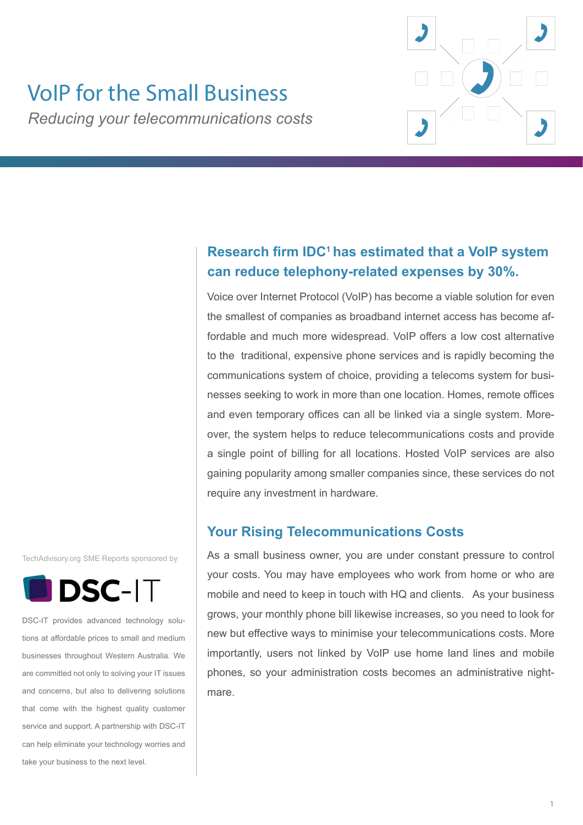

# VoIP for the Small Business

*Reducing your telecommunications costs*

# **Research firm IDC<sup>1</sup>has estimated that a VoIP system can reduce telephony-related expenses by 30%.**

Voice over Internet Protocol (VoIP) has become a viable solution for even the smallest of companies as broadband internet access has become affordable and much more widespread. VoIP offers a low cost alternative to the traditional, expensive phone services and is rapidly becoming the communications system of choice, providing a telecoms system for businesses seeking to work in more than one location. Homes, remote offices and even temporary offices can all be linked via a single system. Moreover, the system helps to reduce telecommunications costs and provide a single point of billing for all locations. Hosted VoIP services are also gaining popularity among smaller companies since, these services do not require any investment in hardware.

# **Your Rising Telecommunications Costs**

As a small business owner, you are under constant pressure to control your costs. You may have employees who work from home or who are mobile and need to keep in touch with HQ and clients. As your business grows, your monthly phone bill likewise increases, so you need to look for new but effective ways to minimise your telecommunications costs. More importantly, users not linked by VoIP use home land lines and mobile phones, so your administration costs becomes an administrative nightmare.

TechAdvisory.org SME Reports sponsored by



DSC-IT provides advanced technology solutions at affordable prices to small and medium businesses throughout Western Australia. We are committed not only to solving your IT issues and concerns, but also to delivering solutions that come with the highest quality customer service and support. A partnership with DSC-IT can help eliminate your technology worries and take your business to the next level.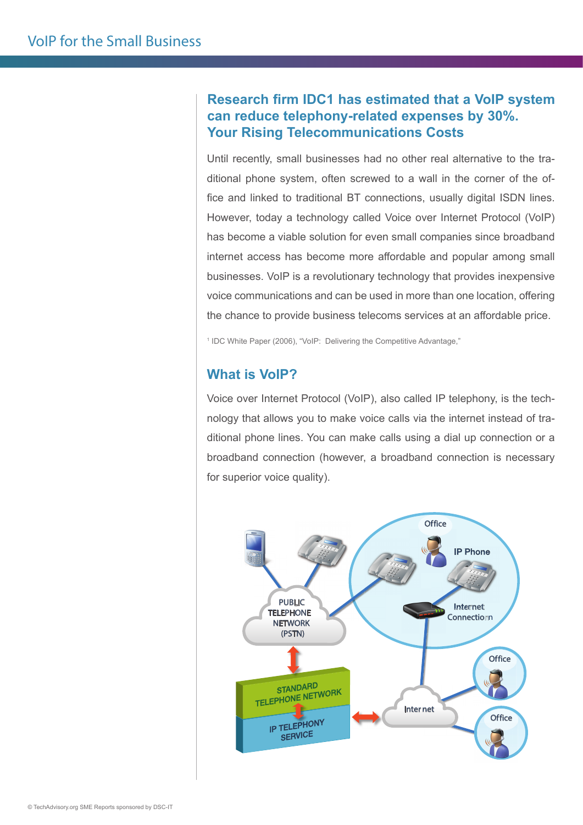# **Research firm IDC1 has estimated that a VoIP system can reduce telephony-related expenses by 30%. Your Rising Telecommunications Costs**

Until recently, small businesses had no other real alternative to the traditional phone system, often screwed to a wall in the corner of the office and linked to traditional BT connections, usually digital ISDN lines. However, today a technology called Voice over Internet Protocol (VoIP) has become a viable solution for even small companies since broadband internet access has become more affordable and popular among small businesses. VoIP is a revolutionary technology that provides inexpensive voice communications and can be used in more than one location, offering the chance to provide business telecoms services at an affordable price.

<sup>1</sup> IDC White Paper (2006), "VoIP: Delivering the Competitive Advantage,"

## **What is VoIP?**

Voice over Internet Protocol (VoIP), also called IP telephony, is the technology that allows you to make voice calls via the internet instead of traditional phone lines. You can make calls using a dial up connection or a broadband connection (however, a broadband connection is necessary for superior voice quality).

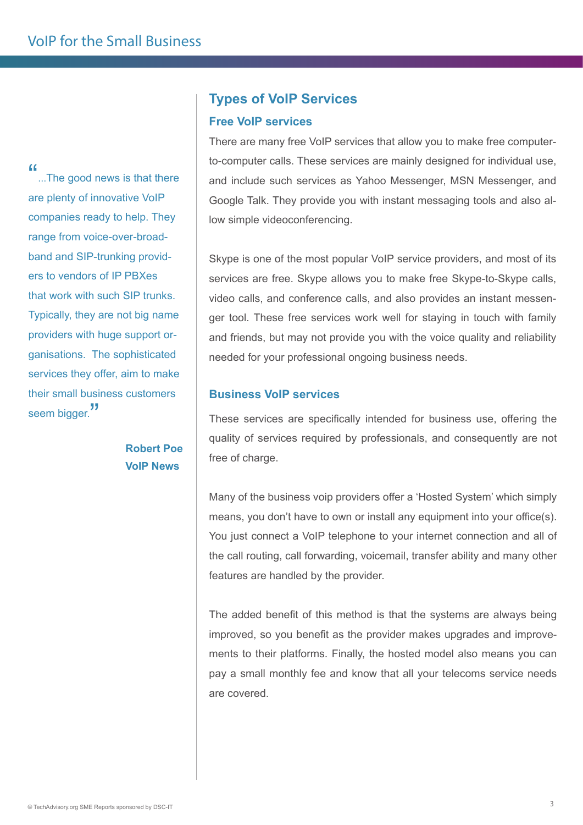"...The good news is that there are plenty of innovative VoIP companies ready to help. They range from voice-over-broadband and SIP-trunking providers to vendors of IP PBXes that work with such SIP trunks. Typically, they are not big name providers with huge support organisations. The sophisticated services they offer, aim to make their small business customers seem bigger.<sup>"</sup>

> **Robert Poe VoIP News**

### **Types of VoIP Services**

#### **Free VoIP services**

There are many free VoIP services that allow you to make free computerto-computer calls. These services are mainly designed for individual use, and include such services as Yahoo Messenger, MSN Messenger, and Google Talk. They provide you with instant messaging tools and also allow simple videoconferencing.

Skype is one of the most popular VoIP service providers, and most of its services are free. Skype allows you to make free Skype-to-Skype calls, video calls, and conference calls, and also provides an instant messenger tool. These free services work well for staying in touch with family and friends, but may not provide you with the voice quality and reliability needed for your professional ongoing business needs.

#### **Business VoIP services**

These services are specifically intended for business use, offering the quality of services required by professionals, and consequently are not free of charge.

Many of the business voip providers offer a 'Hosted System' which simply means, you don't have to own or install any equipment into your office(s). You just connect a VoIP telephone to your internet connection and all of the call routing, call forwarding, voicemail, transfer ability and many other features are handled by the provider.

The added benefit of this method is that the systems are always being improved, so you benefit as the provider makes upgrades and improvements to their platforms. Finally, the hosted model also means you can pay a small monthly fee and know that all your telecoms service needs are covered.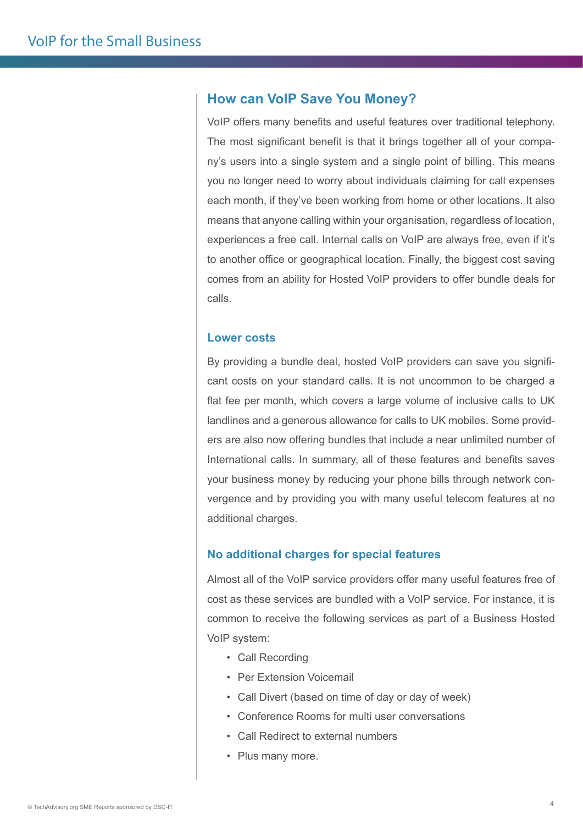## **How can VoIP Save You Money?**

VoIP offers many benefits and useful features over traditional telephony. The most significant benefit is that it brings together all of your company's users into a single system and a single point of billing. This means you no longer need to worry about individuals claiming for call expenses each month, if they've been working from home or other locations. It also means that anyone calling within your organisation, regardless of location, experiences a free call. Internal calls on VoIP are always free, even if it's to another office or geographical location. Finally, the biggest cost saving comes from an ability for Hosted VoIP providers to offer bundle deals for calls.

#### **Lower costs**

By providing a bundle deal, hosted VoIP providers can save you significant costs on your standard calls. It is not uncommon to be charged a flat fee per month, which covers a large volume of inclusive calls to UK landlines and a generous allowance for calls to UK mobiles. Some providers are also now offering bundles that include a near unlimited number of International calls. In summary, all of these features and benefits saves your business money by reducing your phone bills through network convergence and by providing you with many useful telecom features at no additional charges.

#### **No additional charges for special features**

Almost all of the VoIP service providers offer many useful features free of cost as these services are bundled with a VoIP service. For instance, it is common to receive the following services as part of a Business Hosted VoIP system:

- Call Recording
- Per Extension Voicemail
- Call Divert (based on time of day or day of week)
- Conference Rooms for multi user conversations
- Call Redirect to external numbers
- Plus many more.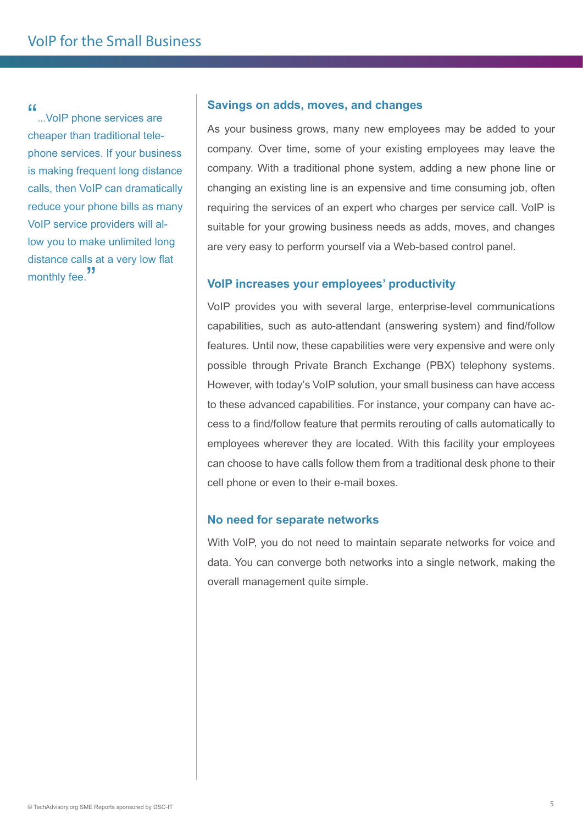"...VoIP phone services are cheaper than traditional telephone services. If your business is making frequent long distance calls, then VoIP can dramatically reduce your phone bills as many VoIP service providers will allow you to make unlimited long distance calls at a very low flat monthly fee.<sup>"</sup>

#### **Savings on adds, moves, and changes**

As your business grows, many new employees may be added to your company. Over time, some of your existing employees may leave the company. With a traditional phone system, adding a new phone line or changing an existing line is an expensive and time consuming job, often requiring the services of an expert who charges per service call. VoIP is suitable for your growing business needs as adds, moves, and changes are very easy to perform yourself via a Web-based control panel.

#### **VoIP increases your employees' productivity**

VoIP provides you with several large, enterprise-level communications capabilities, such as auto-attendant (answering system) and find/follow features. Until now, these capabilities were very expensive and were only possible through Private Branch Exchange (PBX) telephony systems. However, with today's VoIP solution, your small business can have access to these advanced capabilities. For instance, your company can have access to a find/follow feature that permits rerouting of calls automatically to employees wherever they are located. With this facility your employees can choose to have calls follow them from a traditional desk phone to their cell phone or even to their e-mail boxes.

#### **No need for separate networks**

With VoIP, you do not need to maintain separate networks for voice and data. You can converge both networks into a single network, making the overall management quite simple.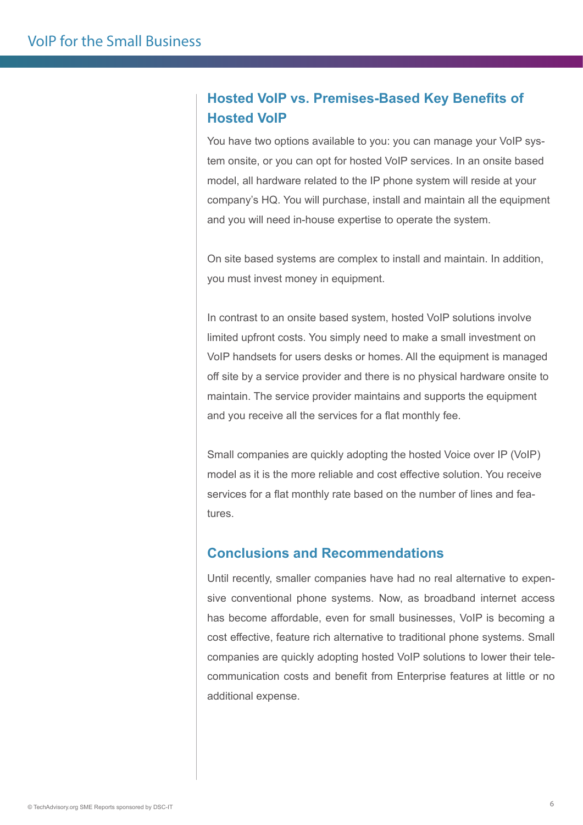# **Hosted VoIP vs. Premises-Based Key Benefits of Hosted VoIP**

You have two options available to you: you can manage your VoIP system onsite, or you can opt for hosted VoIP services. In an onsite based model, all hardware related to the IP phone system will reside at your company's HQ. You will purchase, install and maintain all the equipment and you will need in-house expertise to operate the system.

On site based systems are complex to install and maintain. In addition, you must invest money in equipment.

In contrast to an onsite based system, hosted VoIP solutions involve limited upfront costs. You simply need to make a small investment on VoIP handsets for users desks or homes. All the equipment is managed off site by a service provider and there is no physical hardware onsite to maintain. The service provider maintains and supports the equipment and you receive all the services for a flat monthly fee.

Small companies are quickly adopting the hosted Voice over IP (VoIP) model as it is the more reliable and cost effective solution. You receive services for a flat monthly rate based on the number of lines and features.

# **Conclusions and Recommendations**

Until recently, smaller companies have had no real alternative to expensive conventional phone systems. Now, as broadband internet access has become affordable, even for small businesses, VoIP is becoming a cost effective, feature rich alternative to traditional phone systems. Small companies are quickly adopting hosted VoIP solutions to lower their telecommunication costs and benefit from Enterprise features at little or no additional expense.